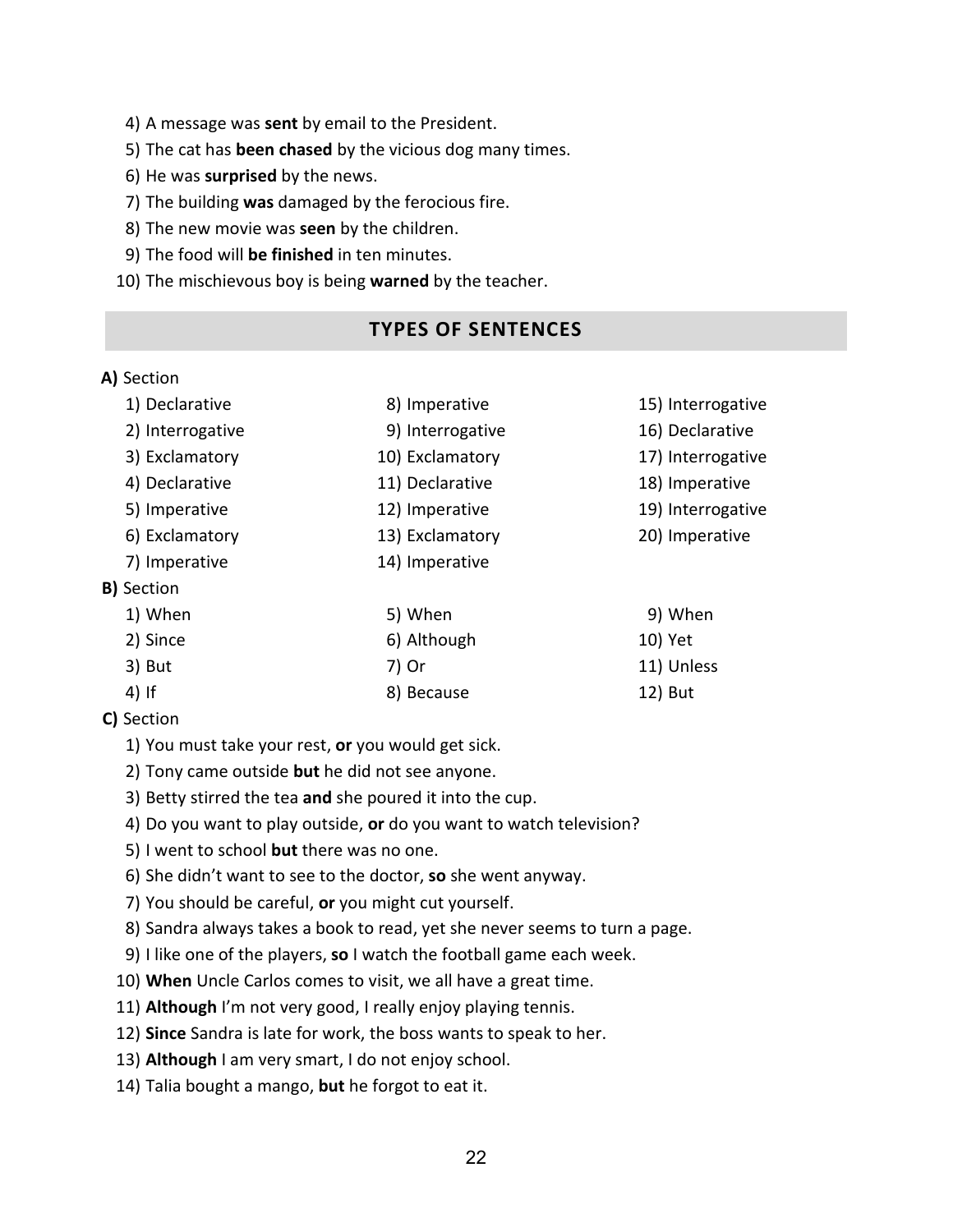#### 4) A message was **sent** by email to the President.

- 5) The cat has **been chased** by the vicious dog many times.
- 6) He was **surprised** by the news.
- 7) The building **was** damaged by the ferocious fire.
- 8) The new movie was **seen** by the children.
- 9) The food will **be finished** in ten minutes.
- 10) The mischievous boy is being **warned** by the teacher.

## **TYPES OF SENTENCES**

#### **A)** Section

| 1) Declarative    | 15) Interrogative<br>8) Imperative |                   |
|-------------------|------------------------------------|-------------------|
| 2) Interrogative  | 9) Interrogative                   | 16) Declarative   |
| 3) Exclamatory    | 10) Exclamatory                    | 17) Interrogative |
| 4) Declarative    | 11) Declarative                    | 18) Imperative    |
| 5) Imperative     | 12) Imperative                     | 19) Interrogative |
| 6) Exclamatory    | 13) Exclamatory                    | 20) Imperative    |
| 7) Imperative     | 14) Imperative                     |                   |
| <b>B)</b> Section |                                    |                   |
| 1) When           | 5) When                            | 9) When           |
| 2) Since          | 6) Although                        | 10) Yet           |
| 3) But            | 7) Or                              | 11) Unless        |
| $4)$ If           | 8) Because                         | 12) But           |

## **C)** Section

- 1) You must take your rest, **or** you would get sick.
- 2) Tony came outside **but** he did not see anyone.
- 3) Betty stirred the tea **and** she poured it into the cup.
- 4) Do you want to play outside, **or** do you want to watch television?
- 5) I went to school **but** there was no one.
- 6) She didn't want to see to the doctor, **so** she went anyway.
- 7) You should be careful, **or** you might cut yourself.
- 8) Sandra always takes a book to read, yet she never seems to turn a page.
- 9) I like one of the players, **so** I watch the football game each week.
- 10) **When** Uncle Carlos comes to visit, we all have a great time.
- 11) **Although** I'm not very good, I really enjoy playing tennis.
- 12) **Since** Sandra is late for work, the boss wants to speak to her.
- 13) **Although** I am very smart, I do not enjoy school.
- 14) Talia bought a mango, **but** he forgot to eat it.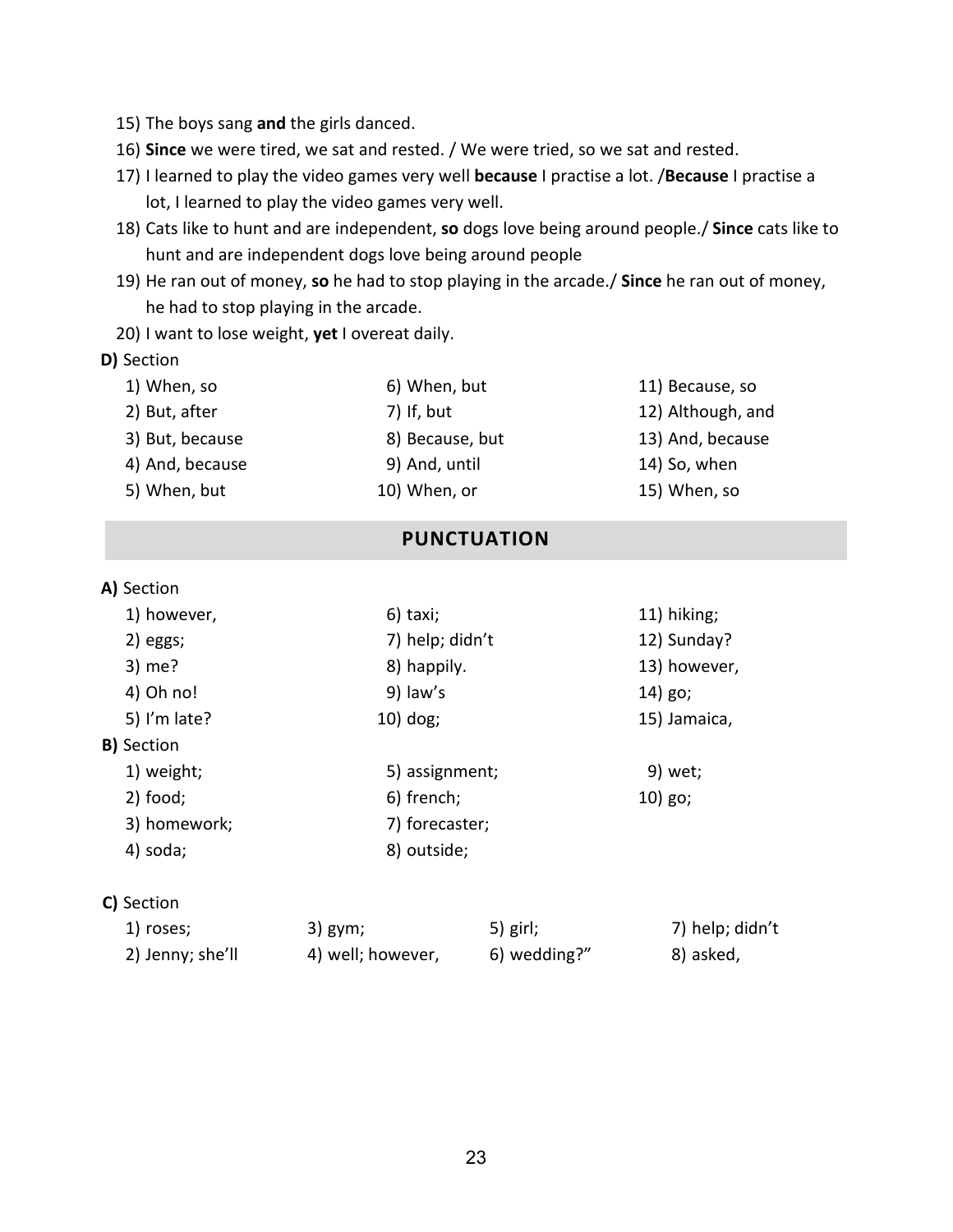- 15) The boys sang **and** the girls danced.
- 16) **Since** we were tired, we sat and rested. / We were tried, so we sat and rested.
- 17) I learned to play the video games very well **because** I practise a lot. /**Because** I practise a lot, I learned to play the video games very well.
- 18) Cats like to hunt and are independent, **so** dogs love being around people./ **Since** cats like to hunt and are independent dogs love being around people
- 19) He ran out of money, **so** he had to stop playing in the arcade./ **Since** he ran out of money, he had to stop playing in the arcade.
- 20) I want to lose weight, **yet** I overeat daily.

#### **D)** Section

| 1) When, so     | 6) When, but    | 11) Because, so   |
|-----------------|-----------------|-------------------|
| 2) But, after   | 7) If, but      | 12) Although, and |
| 3) But, because | 8) Because, but | 13) And, because  |
| 4) And, because | 9) And, until   | 14) So, when      |
| 5) When, but    | 10) When, or    | 15) When, so      |

## **PUNCTUATION**

#### **A)** Section

| 1) however,       | 11) hiking;<br>$6)$ taxi; |              |
|-------------------|---------------------------|--------------|
| $2)$ eggs;        | 7) help; didn't           | 12) Sunday?  |
| 3) me?            | 8) happily.               | 13) however, |
| 4) Oh no!         | 9) law's                  | 14) go;      |
| 5) I'm late?      | $10)$ dog;                | 15) Jamaica, |
| <b>B)</b> Section |                           |              |
| 1) weight;        | 5) assignment;            | 9) wet;      |
| $2)$ food;        | 6) french;                | $10)$ go;    |
| 3) homework;      | 7) forecaster;            |              |
| 4) soda;          | 8) outside;               |              |

#### **C)** Section

| 1) roses;        | 3) gym;           | $5)$ girl;   | 7) help; didn't |
|------------------|-------------------|--------------|-----------------|
| 2) Jenny; she'll | 4) well; however, | 6) wedding?" | 8) asked,       |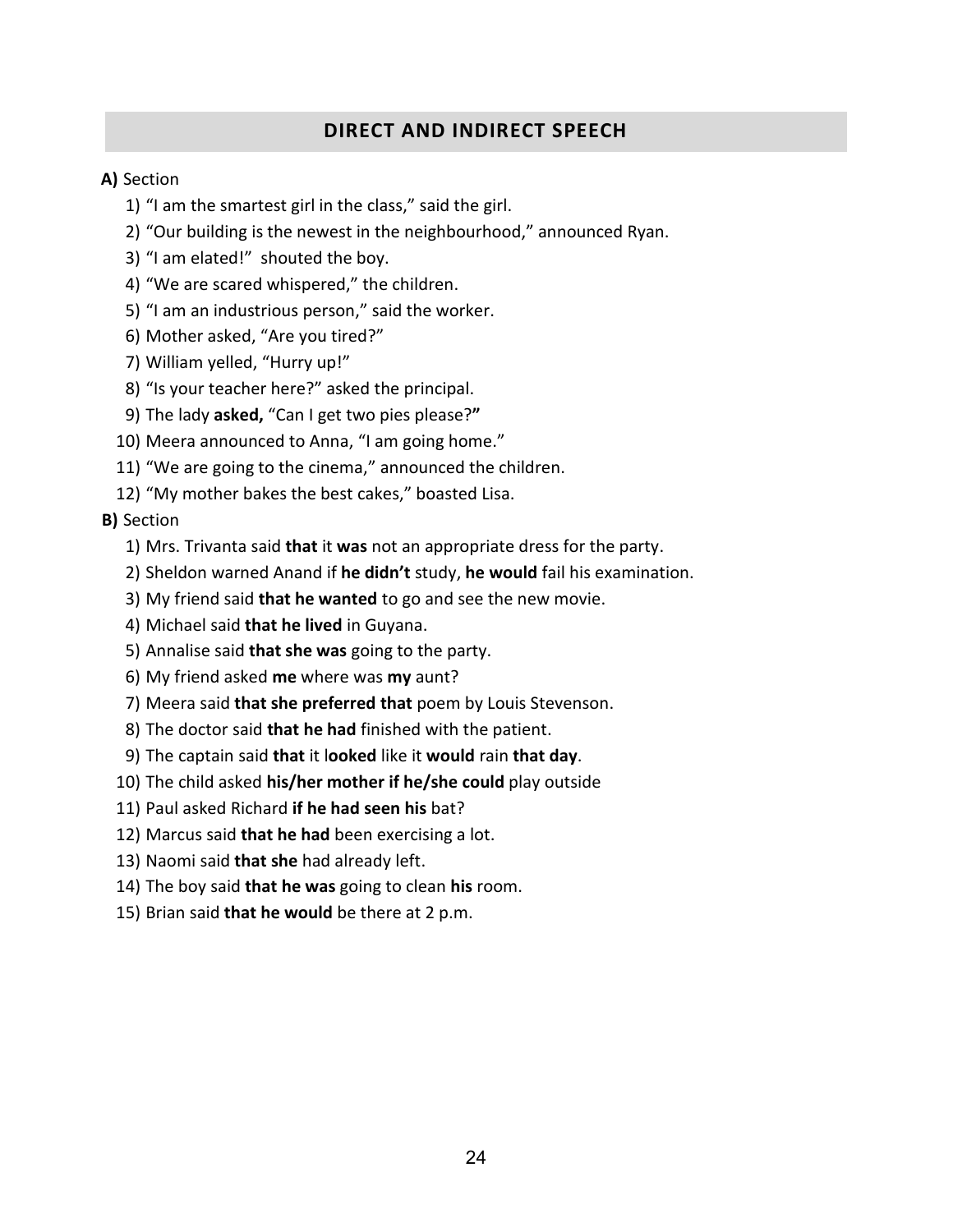# **DIRECT AND INDIRECT SPEECH**

#### **A)** Section

- 1) "I am the smartest girl in the class," said the girl.
- 2) "Our building is the newest in the neighbourhood," announced Ryan.
- 3) "I am elated!" shouted the boy.
- 4) "We are scared whispered," the children.
- 5) "I am an industrious person," said the worker.
- 6) Mother asked, "Are you tired?"
- 7) William yelled, "Hurry up!"
- 8) "Is your teacher here?" asked the principal.
- 9) The lady **asked,** "Can I get two pies please?**"**
- 10) Meera announced to Anna, "I am going home."
- 11) "We are going to the cinema," announced the children.
- 12) "My mother bakes the best cakes," boasted Lisa.

#### **B)** Section

- 1) Mrs. Trivanta said **that** it **was** not an appropriate dress for the party.
- 2) Sheldon warned Anand if **he didn't** study, **he would** fail his examination.
- 3) My friend said **that he wanted** to go and see the new movie.
- 4) Michael said **that he lived** in Guyana.
- 5) Annalise said **that she was** going to the party.
- 6) My friend asked **me** where was **my** aunt?
- 7) Meera said **that she preferred that** poem by Louis Stevenson.
- 8) The doctor said **that he had** finished with the patient.
- 9) The captain said **that** it l**ooked** like it **would** rain **that day**.
- 10) The child asked **his/her mother if he/she could** play outside
- 11) Paul asked Richard **if he had seen his** bat?
- 12) Marcus said **that he had** been exercising a lot.
- 13) Naomi said **that she** had already left.
- 14) The boy said **that he was** going to clean **his** room.
- 15) Brian said **that he would** be there at 2 p.m.